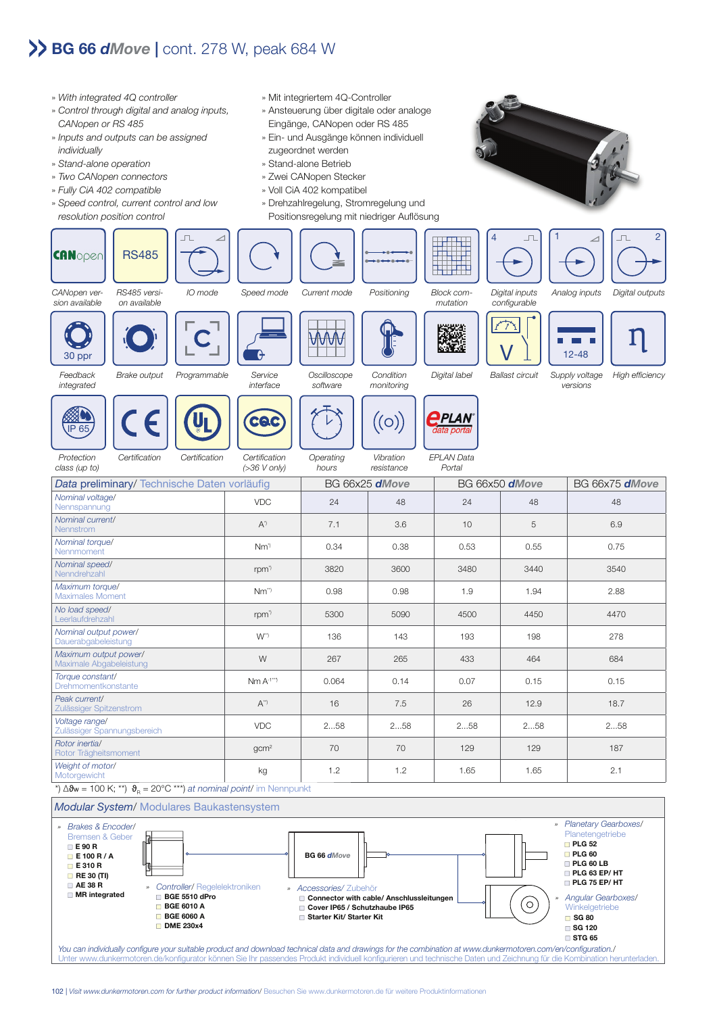## **BG 66** *dMove* **|** cont. 278 W, peak 684 W

- » With integrated 4Q controller » Mit integriertem 4Q-Controller » Control through digital and analog inputs, » Ansteuerung über digitale oder analoge CANopen or RS 485 Eingänge, CANopen oder RS 485 » Inputs and outputs can be assigned » Ein- und Ausgänge können individuell individually zugeordnet werden » Stand-alone operation » Stand-alone Betrieb » Two CANopen connectors » Zwei CANopen Stecker » Fully CiA 402 compatible » Voll CiA 402 kompatibel » Speed control, current control and low » Drehzahlregelung, Stromregelung und resolution position control Positionsregelung mit niedriger Auflösung **CANoper** RS485 CANopen ver-RS485 versi-IO mode Speed mode Current mode Positioning Block com-Digital inputs sion available on available mutation configurable  $\sqrt{\frac{1}{\frac{1}{2}}}\left[\frac{1}{\frac{1}{2}-48}\right]$   $\prod$ M ₩₩ 30 ppr e Brake output Programmable Service **Oscilloscope Condition** Digital label Ballast circuit Supply voltage integrated interface software monitoring versions **PLAN** CAC  $(O)$ IP 65 ata norta EPLAN Data Certification Certification Certification **Operating** Vibration **Protection** (>36 V only) Portal class (up to) hours resistance Data preliminary/ Technische Daten vorläufig BG 66x25 *dMove* BG 66x50 *dMove* BG 66x75 *dMove* Nominal voltage/ Nennspannung VDC 24 48 24 48 48 Nominal current/ Nennstrom **A\***) A\*) 7.1 3.6 10 5 6.9<br>Nennstrom **1.0 5 6.9** Nominal torque/ Nennm*ent* Orguer 1988 (1998) 0.34 0.38 0.53 0.55 0.75 0.75<br>Nennmoment Nominal speed/ Nenndrehzahl rpm\*) 3820 3600 3480 3440 3540 Maximum torque/ Maximalm Mayder **NM\*\*** 1.9 1.94 1.94 2.88<br>Maximales Moment **NM\*\*** 1.9 1.94 2.88 No load speed/ Leerlaufdrehzahl rpm\*) 5300 5090 4500 4450 4470 Nominal output power/ Dauerabgabeleistung W\*\*) 136 143 193 198 278 Maximum output power/
	-





Feedback



Torque constant/<br>Drehmomentkonstante

Peak current/

Voltage range/

Rotor inertia/



High efficiency



Rotor Trägheitsmoment gcm2 70 70 129 129 187 Weight of motor/ Motorgewicht kg 1.2 1.2 1.65 1.65 2.1 \*)  $\Delta\vartheta_{\rm w}$  = 100 K; \*\*)  $\vartheta_{\rm R}$  = 20°C \*\*\*) at nominal point/ im Nennpunkt



Drehmomentkonstante Nm A-1\* \* \*) 0.064 0.14 0.07 0.15 0.15

Teak carlendrich († 1882)<br>Zulässiger Spitzenstrom († 1871) 16 16 17.5 18.7 († 18.7 18.7 18.7 p

Zulässiger Spannungsbereich VDC 2...58 2...58 2...58 2...58 2...58